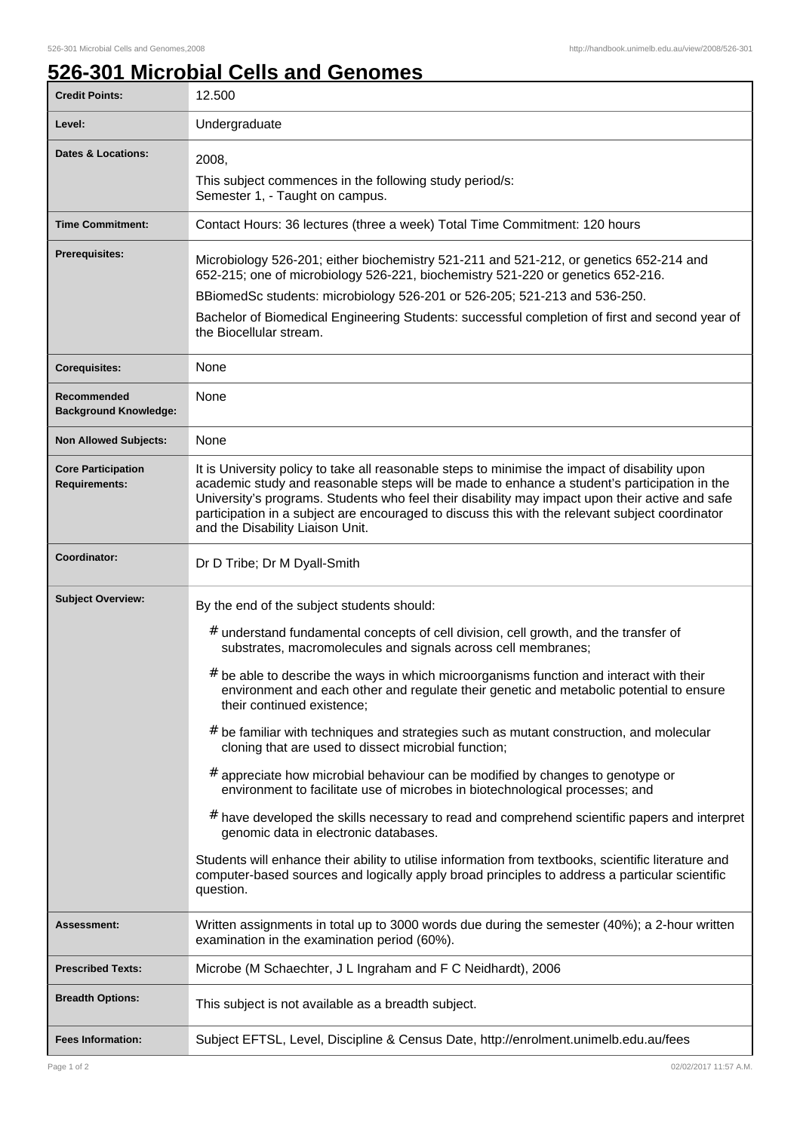٦

## **526-301 Microbial Cells and Genomes**

| <b>Credit Points:</b>                             | 12.500                                                                                                                                                                                                                                                                                                                                                                                                                                                                                                                                                                                                                                                                                                                                                                                                                                                                                                                                                                                                                                                                                                               |
|---------------------------------------------------|----------------------------------------------------------------------------------------------------------------------------------------------------------------------------------------------------------------------------------------------------------------------------------------------------------------------------------------------------------------------------------------------------------------------------------------------------------------------------------------------------------------------------------------------------------------------------------------------------------------------------------------------------------------------------------------------------------------------------------------------------------------------------------------------------------------------------------------------------------------------------------------------------------------------------------------------------------------------------------------------------------------------------------------------------------------------------------------------------------------------|
| Level:                                            | Undergraduate                                                                                                                                                                                                                                                                                                                                                                                                                                                                                                                                                                                                                                                                                                                                                                                                                                                                                                                                                                                                                                                                                                        |
| <b>Dates &amp; Locations:</b>                     | 2008,<br>This subject commences in the following study period/s:<br>Semester 1, - Taught on campus.                                                                                                                                                                                                                                                                                                                                                                                                                                                                                                                                                                                                                                                                                                                                                                                                                                                                                                                                                                                                                  |
| <b>Time Commitment:</b>                           | Contact Hours: 36 lectures (three a week) Total Time Commitment: 120 hours                                                                                                                                                                                                                                                                                                                                                                                                                                                                                                                                                                                                                                                                                                                                                                                                                                                                                                                                                                                                                                           |
| <b>Prerequisites:</b>                             | Microbiology 526-201; either biochemistry 521-211 and 521-212, or genetics 652-214 and<br>652-215; one of microbiology 526-221, biochemistry 521-220 or genetics 652-216.<br>BBiomedSc students: microbiology 526-201 or 526-205; 521-213 and 536-250.<br>Bachelor of Biomedical Engineering Students: successful completion of first and second year of<br>the Biocellular stream.                                                                                                                                                                                                                                                                                                                                                                                                                                                                                                                                                                                                                                                                                                                                  |
| <b>Corequisites:</b>                              | None                                                                                                                                                                                                                                                                                                                                                                                                                                                                                                                                                                                                                                                                                                                                                                                                                                                                                                                                                                                                                                                                                                                 |
| Recommended<br><b>Background Knowledge:</b>       | None                                                                                                                                                                                                                                                                                                                                                                                                                                                                                                                                                                                                                                                                                                                                                                                                                                                                                                                                                                                                                                                                                                                 |
| <b>Non Allowed Subjects:</b>                      | None                                                                                                                                                                                                                                                                                                                                                                                                                                                                                                                                                                                                                                                                                                                                                                                                                                                                                                                                                                                                                                                                                                                 |
| <b>Core Participation</b><br><b>Requirements:</b> | It is University policy to take all reasonable steps to minimise the impact of disability upon<br>academic study and reasonable steps will be made to enhance a student's participation in the<br>University's programs. Students who feel their disability may impact upon their active and safe<br>participation in a subject are encouraged to discuss this with the relevant subject coordinator<br>and the Disability Liaison Unit.                                                                                                                                                                                                                                                                                                                                                                                                                                                                                                                                                                                                                                                                             |
| Coordinator:                                      | Dr D Tribe; Dr M Dyall-Smith                                                                                                                                                                                                                                                                                                                                                                                                                                                                                                                                                                                                                                                                                                                                                                                                                                                                                                                                                                                                                                                                                         |
| <b>Subject Overview:</b>                          | By the end of the subject students should:<br>$#$ understand fundamental concepts of cell division, cell growth, and the transfer of<br>substrates, macromolecules and signals across cell membranes;<br>$#$ be able to describe the ways in which microorganisms function and interact with their<br>environment and each other and regulate their genetic and metabolic potential to ensure<br>their continued existence;<br>$#$ be familiar with techniques and strategies such as mutant construction, and molecular<br>cloning that are used to dissect microbial function;<br>$#$ appreciate how microbial behaviour can be modified by changes to genotype or<br>environment to facilitate use of microbes in biotechnological processes; and<br># have developed the skills necessary to read and comprehend scientific papers and interpret<br>genomic data in electronic databases.<br>Students will enhance their ability to utilise information from textbooks, scientific literature and<br>computer-based sources and logically apply broad principles to address a particular scientific<br>question. |
| <b>Assessment:</b>                                | Written assignments in total up to 3000 words due during the semester (40%); a 2-hour written<br>examination in the examination period (60%).                                                                                                                                                                                                                                                                                                                                                                                                                                                                                                                                                                                                                                                                                                                                                                                                                                                                                                                                                                        |
| <b>Prescribed Texts:</b>                          | Microbe (M Schaechter, J L Ingraham and F C Neidhardt), 2006                                                                                                                                                                                                                                                                                                                                                                                                                                                                                                                                                                                                                                                                                                                                                                                                                                                                                                                                                                                                                                                         |
| <b>Breadth Options:</b>                           | This subject is not available as a breadth subject.                                                                                                                                                                                                                                                                                                                                                                                                                                                                                                                                                                                                                                                                                                                                                                                                                                                                                                                                                                                                                                                                  |
| <b>Fees Information:</b>                          | Subject EFTSL, Level, Discipline & Census Date, http://enrolment.unimelb.edu.au/fees                                                                                                                                                                                                                                                                                                                                                                                                                                                                                                                                                                                                                                                                                                                                                                                                                                                                                                                                                                                                                                 |